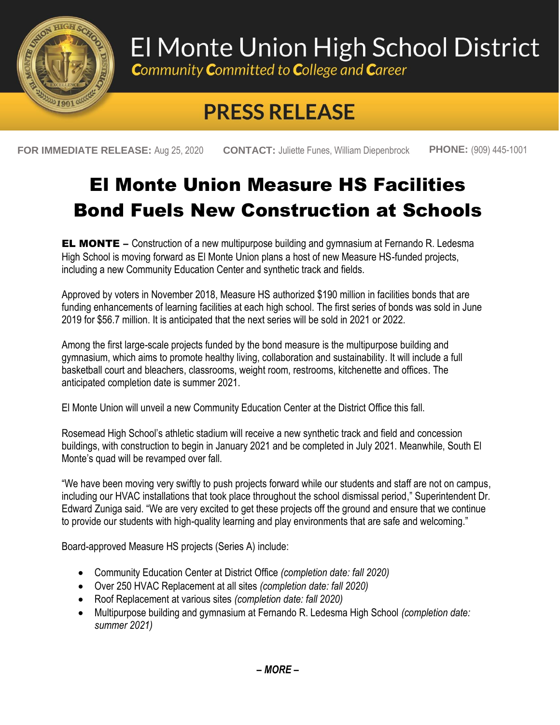

## El Monte Union High School District

**Community Committed to College and Career** 

## **PRESS RELEASE**

**FOR IMMEDIATE RELEASE:** Aug 25, 2020 **CONTACT:** Juliette Funes, William Diepenbrock **PHONE:** (909) 445-1001

## El Monte Union Measure HS Facilities Bond Fuels New Construction at Schools

**EL MONTE** – Construction of a new multipurpose building and gymnasium at Fernando R. Ledesma High School is moving forward as El Monte Union plans a host of new Measure HS-funded projects, including a new Community Education Center and synthetic track and fields.

Approved by voters in November 2018, Measure HS authorized \$190 million in facilities bonds that are funding enhancements of learning facilities at each high school. The first series of bonds was sold in June 2019 for \$56.7 million. It is anticipated that the next series will be sold in 2021 or 2022.

Among the first large-scale projects funded by the bond measure is the multipurpose building and gymnasium, which aims to promote healthy living, collaboration and sustainability. It will include a full basketball court and bleachers, classrooms, weight room, restrooms, kitchenette and offices. The anticipated completion date is summer 2021.

El Monte Union will unveil a new Community Education Center at the District Office this fall.

Rosemead High School's athletic stadium will receive a new synthetic track and field and concession buildings, with construction to begin in January 2021 and be completed in July 2021. Meanwhile, South El Monte's quad will be revamped over fall.

"We have been moving very swiftly to push projects forward while our students and staff are not on campus, including our HVAC installations that took place throughout the school dismissal period," Superintendent Dr. Edward Zuniga said. "We are very excited to get these projects off the ground and ensure that we continue to provide our students with high-quality learning and play environments that are safe and welcoming."

Board-approved Measure HS projects (Series A) include:

- Community Education Center at District Office *(completion date: fall 2020)*
- Over 250 HVAC Replacement at all sites *(completion date: fall 2020)*
- Roof Replacement at various sites *(completion date: fall 2020)*
- Multipurpose building and gymnasium at Fernando R. Ledesma High School *(completion date: summer 2021)*